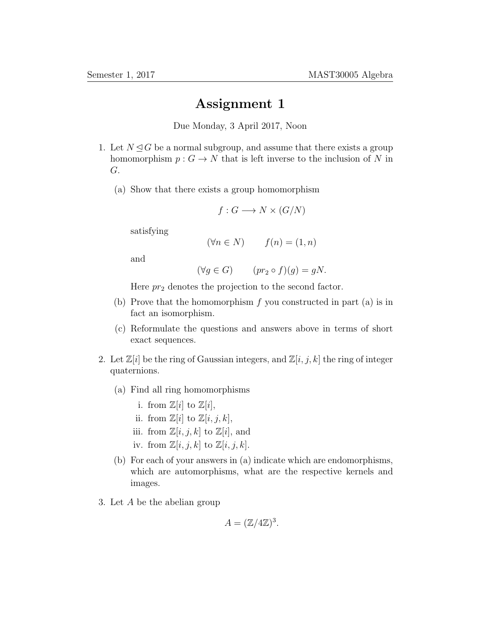## Assignment 1

Due Monday, 3 April 2017, Noon

- 1. Let  $N \trianglelefteq G$  be a normal subgroup, and assume that there exists a group homomorphism  $p: G \to N$  that is left inverse to the inclusion of N in G.
	- (a) Show that there exists a group homomorphism

$$
f: G \longrightarrow N \times (G/N)
$$

satisfying

$$
(\forall n \in N) \qquad f(n) = (1, n)
$$

and

$$
(\forall g \in G) \qquad (pr_2 \circ f)(g) = gN.
$$

Here  $pr_2$  denotes the projection to the second factor.

- (b) Prove that the homomorphism  $f$  you constructed in part (a) is in fact an isomorphism.
- (c) Reformulate the questions and answers above in terms of short exact sequences.
- 2. Let  $\mathbb{Z}[i]$  be the ring of Gaussian integers, and  $\mathbb{Z}[i, j, k]$  the ring of integer quaternions.
	- (a) Find all ring homomorphisms
		- i. from  $\mathbb{Z}[i]$  to  $\mathbb{Z}[i]$ ,
		- ii. from  $\mathbb{Z}[i]$  to  $\mathbb{Z}[i, j, k]$ ,
		- iii. from  $\mathbb{Z}[i, j, k]$  to  $\mathbb{Z}[i]$ , and
		- iv. from  $\mathbb{Z}[i, j, k]$  to  $\mathbb{Z}[i, j, k]$ .
	- (b) For each of your answers in (a) indicate which are endomorphisms, which are automorphisms, what are the respective kernels and images.
- 3. Let A be the abelian group

$$
A = (\mathbb{Z}/4\mathbb{Z})^3.
$$